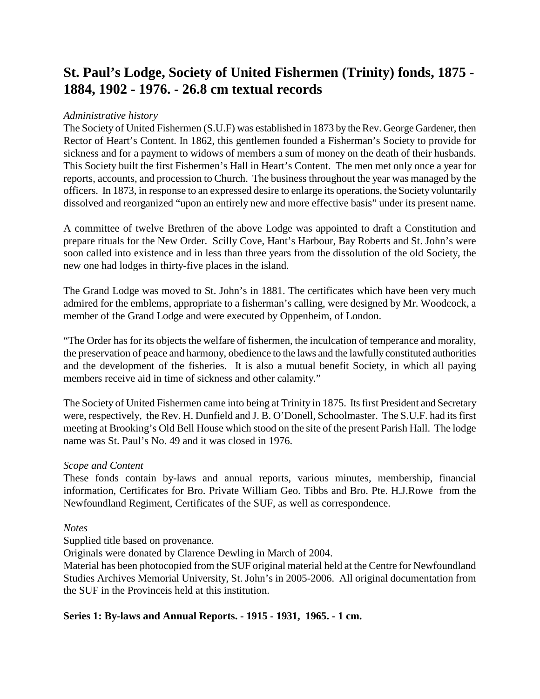# **St. Paul's Lodge, Society of United Fishermen (Trinity) fonds, 1875 - 1884, 1902 - 1976. - 26.8 cm textual records**

## *Administrative history*

The Society of United Fishermen (S.U.F) was established in 1873 by the Rev. George Gardener, then Rector of Heart's Content. In 1862, this gentlemen founded a Fisherman's Society to provide for sickness and for a payment to widows of members a sum of money on the death of their husbands. This Society built the first Fishermen's Hall in Heart's Content. The men met only once a year for reports, accounts, and procession to Church. The business throughout the year was managed by the officers. In 1873, in response to an expressed desire to enlarge its operations, the Society voluntarily dissolved and reorganized "upon an entirely new and more effective basis" under its present name.

A committee of twelve Brethren of the above Lodge was appointed to draft a Constitution and prepare rituals for the New Order. Scilly Cove, Hant's Harbour, Bay Roberts and St. John's were soon called into existence and in less than three years from the dissolution of the old Society, the new one had lodges in thirty-five places in the island.

The Grand Lodge was moved to St. John's in 1881. The certificates which have been very much admired for the emblems, appropriate to a fisherman's calling, were designed by Mr. Woodcock, a member of the Grand Lodge and were executed by Oppenheim, of London.

"The Order has for its objects the welfare of fishermen, the inculcation of temperance and morality, the preservation of peace and harmony, obedience to the laws and the lawfully constituted authorities and the development of the fisheries. It is also a mutual benefit Society, in which all paying members receive aid in time of sickness and other calamity."

The Society of United Fishermen came into being at Trinity in 1875. Its first President and Secretary were, respectively, the Rev. H. Dunfield and J. B. O'Donell, Schoolmaster. The S.U.F. had its first meeting at Brooking's Old Bell House which stood on the site of the present Parish Hall. The lodge name was St. Paul's No. 49 and it was closed in 1976.

## *Scope and Content*

These fonds contain by-laws and annual reports, various minutes, membership, financial information, Certificates for Bro. Private William Geo. Tibbs and Bro. Pte. H.J.Rowe from the Newfoundland Regiment, Certificates of the SUF, as well as correspondence.

## *Notes*

Supplied title based on provenance.

Originals were donated by Clarence Dewling in March of 2004.

Material has been photocopied from the SUF original material held at the Centre for Newfoundland Studies Archives Memorial University, St. John's in 2005-2006. All original documentation from the SUF in the Provinceis held at this institution.

## **Series 1: By-laws and Annual Reports. - 1915 - 1931, 1965. - 1 cm.**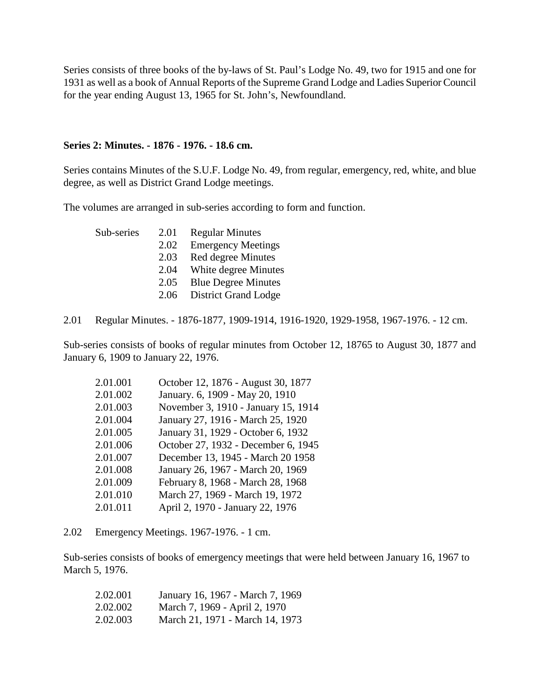Series consists of three books of the by-laws of St. Paul's Lodge No. 49, two for 1915 and one for 1931 as well as a book of Annual Reports of the Supreme Grand Lodge and Ladies Superior Council for the year ending August 13, 1965 for St. John's, Newfoundland.

#### **Series 2: Minutes. - 1876 - 1976. - 18.6 cm.**

Series contains Minutes of the S.U.F. Lodge No. 49, from regular, emergency, red, white, and blue degree, as well as District Grand Lodge meetings.

The volumes are arranged in sub-series according to form and function.

| Sub-series | 2.01 | <b>Regular Minutes</b>     |
|------------|------|----------------------------|
|            | 2.02 | <b>Emergency Meetings</b>  |
|            | 2.03 | Red degree Minutes         |
|            | 2.04 | White degree Minutes       |
|            | 2.05 | <b>Blue Degree Minutes</b> |
|            | 2.06 | District Grand Lodge       |

2.01 Regular Minutes. - 1876-1877, 1909-1914, 1916-1920, 1929-1958, 1967-1976. - 12 cm.

Sub-series consists of books of regular minutes from October 12, 18765 to August 30, 1877 and January 6, 1909 to January 22, 1976.

| 2.01.001 | October 12, 1876 - August 30, 1877  |
|----------|-------------------------------------|
| 2.01.002 | January. 6, 1909 - May 20, 1910     |
| 2.01.003 | November 3, 1910 - January 15, 1914 |
| 2.01.004 | January 27, 1916 - March 25, 1920   |
| 2.01.005 | January 31, 1929 - October 6, 1932  |
| 2.01.006 | October 27, 1932 - December 6, 1945 |
| 2.01.007 | December 13, 1945 - March 20 1958   |
| 2.01.008 | January 26, 1967 - March 20, 1969   |
| 2.01.009 | February 8, 1968 - March 28, 1968   |
| 2.01.010 | March 27, 1969 - March 19, 1972     |
| 2.01.011 | April 2, 1970 - January 22, 1976    |

2.02 Emergency Meetings. 1967-1976. - 1 cm.

Sub-series consists of books of emergency meetings that were held between January 16, 1967 to March 5, 1976.

| 2.02.001 | January 16, 1967 - March 7, 1969 |
|----------|----------------------------------|
| 2.02.002 | March 7, 1969 - April 2, 1970    |
| 2.02.003 | March 21, 1971 - March 14, 1973  |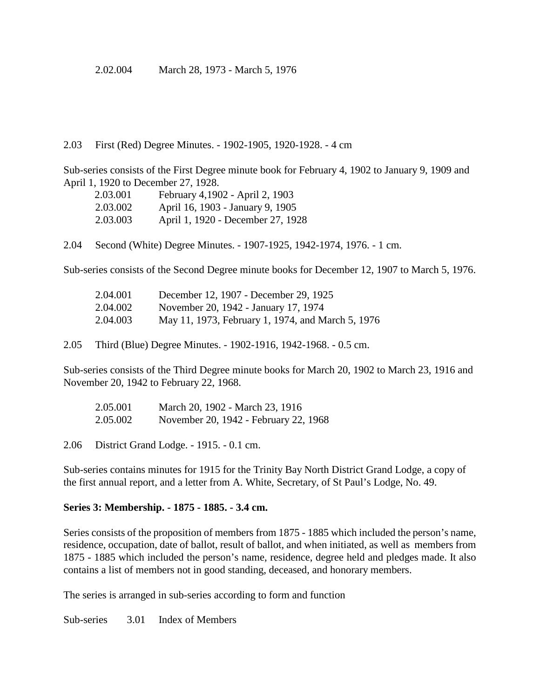2.02.004 March 28, 1973 - March 5, 1976

2.03 First (Red) Degree Minutes. - 1902-1905, 1920-1928. - 4 cm

Sub-series consists of the First Degree minute book for February 4, 1902 to January 9, 1909 and April 1, 1920 to December 27, 1928.

| 2.03.001 | February 4,1902 - April 2, 1903   |
|----------|-----------------------------------|
| 2.03.002 | April 16, 1903 - January 9, 1905  |
| 2.03.003 | April 1, 1920 - December 27, 1928 |

2.04 Second (White) Degree Minutes. - 1907-1925, 1942-1974, 1976. - 1 cm.

Sub-series consists of the Second Degree minute books for December 12, 1907 to March 5, 1976.

| 2.04.001 | December 12, 1907 - December 29, 1925             |
|----------|---------------------------------------------------|
| 2.04.002 | November 20, 1942 - January 17, 1974              |
| 2.04.003 | May 11, 1973, February 1, 1974, and March 5, 1976 |

2.05 Third (Blue) Degree Minutes. - 1902-1916, 1942-1968. - 0.5 cm.

Sub-series consists of the Third Degree minute books for March 20, 1902 to March 23, 1916 and November 20, 1942 to February 22, 1968.

| 2.05.001 | March 20, 1902 - March 23, 1916       |
|----------|---------------------------------------|
| 2.05.002 | November 20, 1942 - February 22, 1968 |

2.06 District Grand Lodge. - 1915. - 0.1 cm.

Sub-series contains minutes for 1915 for the Trinity Bay North District Grand Lodge, a copy of the first annual report, and a letter from A. White, Secretary, of St Paul's Lodge, No. 49.

## **Series 3: Membership. - 1875 - 1885. - 3.4 cm.**

Series consists of the proposition of members from 1875 - 1885 which included the person's name, residence, occupation, date of ballot, result of ballot, and when initiated, as well as members from 1875 - 1885 which included the person's name, residence, degree held and pledges made. It also contains a list of members not in good standing, deceased, and honorary members.

The series is arranged in sub-series according to form and function

Sub-series 3.01 Index of Members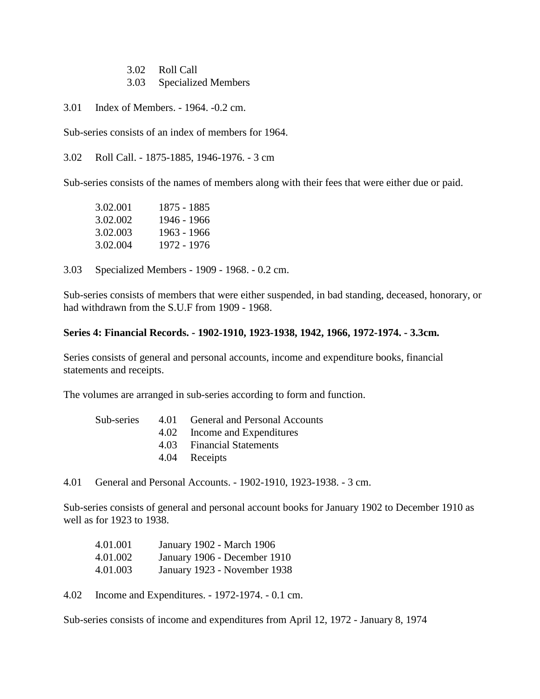3.02 Roll Call

3.03 Specialized Members

3.01 Index of Members. - 1964. -0.2 cm.

Sub-series consists of an index of members for 1964.

3.02 Roll Call. - 1875-1885, 1946-1976. - 3 cm

Sub-series consists of the names of members along with their fees that were either due or paid.

3.02.001 1875 - 1885 3.02.002 1946 - 1966 3.02.003 1963 - 1966 3.02.004 1972 - 1976

3.03 Specialized Members - 1909 - 1968. - 0.2 cm.

Sub-series consists of members that were either suspended, in bad standing, deceased, honorary, or had withdrawn from the S.U.F from 1909 - 1968.

#### **Series 4: Financial Records. - 1902-1910, 1923-1938, 1942, 1966, 1972-1974. - 3.3cm.**

Series consists of general and personal accounts, income and expenditure books, financial statements and receipts.

The volumes are arranged in sub-series according to form and function.

|  | Sub-series 4.01 General and Personal Accounts |
|--|-----------------------------------------------|
|  | 4.02 Income and Expenditures                  |
|  | 4.03 Financial Statements                     |
|  | 4.04 Receipts                                 |
|  |                                               |

4.01 General and Personal Accounts. - 1902-1910, 1923-1938. - 3 cm.

Sub-series consists of general and personal account books for January 1902 to December 1910 as well as for 1923 to 1938.

| 4.01.001 | January 1902 - March 1906    |
|----------|------------------------------|
| 4.01.002 | January 1906 - December 1910 |
| 4.01.003 | January 1923 - November 1938 |

4.02 Income and Expenditures. - 1972-1974. - 0.1 cm.

Sub-series consists of income and expenditures from April 12, 1972 - January 8, 1974